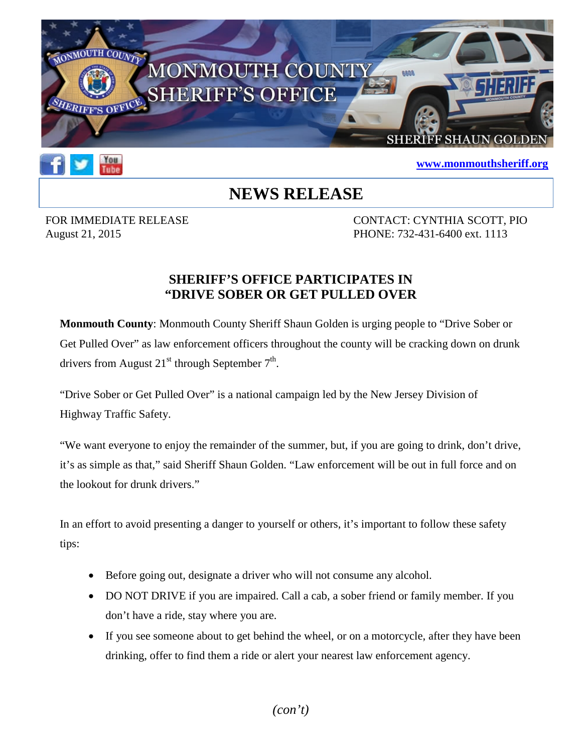



## **[www.monmouthsheriff.org](http://www.monmouthsheriff.org/)**

## **NEWS RELEASE**

FOR IMMEDIATE RELEASE CONTACT: CYNTHIA SCOTT, PIO August 21, 2015 **PHONE:** 732-431-6400 ext. 1113

## **SHERIFF'S OFFICE PARTICIPATES IN "DRIVE SOBER OR GET PULLED OVER**

**Monmouth County**: Monmouth County Sheriff Shaun Golden is urging people to "Drive Sober or Get Pulled Over" as law enforcement officers throughout the county will be cracking down on drunk drivers from August  $21^{st}$  through September  $7^{th}$ .

"Drive Sober or Get Pulled Over" is a national campaign led by the New Jersey Division of Highway Traffic Safety.

"We want everyone to enjoy the remainder of the summer, but, if you are going to drink, don't drive, it's as simple as that," said Sheriff Shaun Golden. "Law enforcement will be out in full force and on the lookout for drunk drivers."

In an effort to avoid presenting a danger to yourself or others, it's important to follow these safety tips:

- Before going out, designate a driver who will not consume any alcohol.
- DO NOT DRIVE if you are impaired. Call a cab, a sober friend or family member. If you don't have a ride, stay where you are.
- If you see someone about to get behind the wheel, or on a motorcycle, after they have been drinking, offer to find them a ride or alert your nearest law enforcement agency.